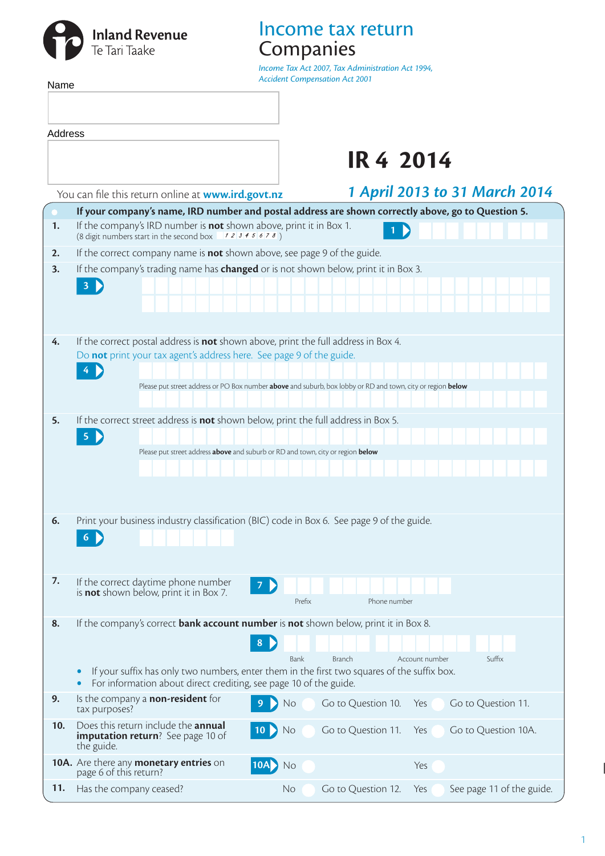# **Inland Revenue**<br>Te Tari Taake

### Income tax return Companies

*Income Tax Act 2007, Tax Administration Act 1994, Accident Compensation Act 2001*

| <b>Accident Compensation Act 2001</b><br>Name |                                                                                                          |                                                                                                             |
|-----------------------------------------------|----------------------------------------------------------------------------------------------------------|-------------------------------------------------------------------------------------------------------------|
|                                               |                                                                                                          |                                                                                                             |
| Address                                       |                                                                                                          |                                                                                                             |
|                                               |                                                                                                          | <b>IR 4 2014</b>                                                                                            |
|                                               |                                                                                                          |                                                                                                             |
|                                               | You can file this return online at <b>www.ird.govt.nz</b>                                                | 1 April 2013 to 31 March 2014                                                                               |
|                                               |                                                                                                          | If your company's name, IRD number and postal address are shown correctly above, go to Question 5.          |
| 1.                                            | If the company's IRD number is <b>not</b> shown above, print it in Box 1.                                |                                                                                                             |
| 2.                                            | If the correct company name is <b>not</b> shown above, see page 9 of the guide.                          |                                                                                                             |
| 3.                                            | If the company's trading name has <b>changed</b> or is not shown below, print it in Box 3.               |                                                                                                             |
|                                               | 3                                                                                                        |                                                                                                             |
|                                               |                                                                                                          |                                                                                                             |
|                                               |                                                                                                          |                                                                                                             |
| 4.                                            | If the correct postal address is <b>not</b> shown above, print the full address in Box 4.                |                                                                                                             |
|                                               | Do not print your tax agent's address here. See page 9 of the guide.                                     |                                                                                                             |
|                                               |                                                                                                          | Please put street address or PO Box number above and suburb, box lobby or RD and town, city or region below |
|                                               |                                                                                                          |                                                                                                             |
| 5.                                            | If the correct street address is <b>not</b> shown below, print the full address in Box 5.                |                                                                                                             |
|                                               | $\overline{\mathbf{5}}$                                                                                  |                                                                                                             |
|                                               | Please put street address above and suburb or RD and town, city or region below                          |                                                                                                             |
|                                               |                                                                                                          |                                                                                                             |
|                                               |                                                                                                          |                                                                                                             |
|                                               |                                                                                                          |                                                                                                             |
| 6.                                            | Print your business industry classification (BIC) code in Box 6. See page 9 of the guide.                |                                                                                                             |
|                                               | 6                                                                                                        |                                                                                                             |
|                                               |                                                                                                          |                                                                                                             |
| 7.                                            | If the correct daytime phone number                                                                      |                                                                                                             |
|                                               | is <b>not</b> shown below, print it in Box 7.                                                            | Prefix<br>Phone number                                                                                      |
|                                               |                                                                                                          |                                                                                                             |
| 8.                                            | If the company's correct <b>bank account number</b> is <b>not</b> shown below, print it in Box 8.        |                                                                                                             |
|                                               | 8                                                                                                        | Suffix<br><b>Branch</b><br><b>Bank</b><br>Account number                                                    |
|                                               | If your suffix has only two numbers, enter them in the first two squares of the suffix box.<br>$\bullet$ |                                                                                                             |
|                                               | For information about direct crediting, see page 10 of the guide.                                        |                                                                                                             |
| 9.                                            | Is the company a <b>non-resident</b> for<br>tax purposes?                                                | Go to Question 10.<br>Go to Question 11.<br>No<br>Yes                                                       |
| 10.                                           | Does this return include the <b>annual</b><br><b>imputation return</b> ? See page 10 of<br>the guide.    | Go to Question 11.<br>Go to Question 10A.<br>No<br>Yes                                                      |
|                                               | 10A. Are there any monetary entries on<br><b>10A</b><br>page 6 of this return?                           | Yes<br>No                                                                                                   |
| 11.                                           | Has the company ceased?                                                                                  | Go to Question 12.<br>See page 11 of the guide.<br>No.<br>Yes                                               |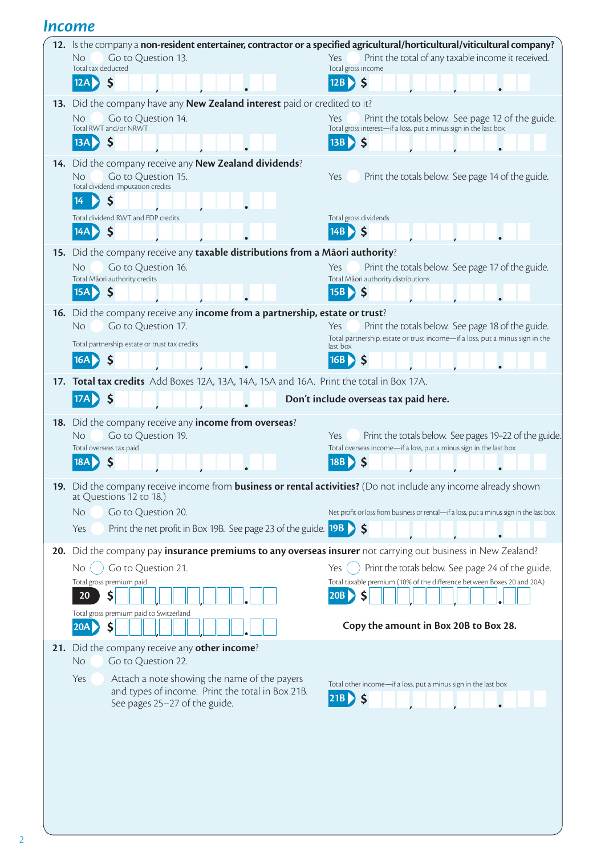### *Income*

|     | 12. Is the company a non-resident entertainer, contractor or a specified agricultural/horticultural/viticultural company?                     |                                                                                                 |
|-----|-----------------------------------------------------------------------------------------------------------------------------------------------|-------------------------------------------------------------------------------------------------|
|     | Go to Question 13.<br>No.                                                                                                                     | Print the total of any taxable income it received.<br>Yes                                       |
|     | Total tax deducted<br>\$<br>12A                                                                                                               | Total gross income<br>$\mathsf{\$}$<br>12B                                                      |
|     |                                                                                                                                               |                                                                                                 |
|     | 13. Did the company have any New Zealand interest paid or credited to it?<br>Go to Question 14.<br>No.                                        | Print the totals below. See page 12 of the guide.<br>Yes                                        |
|     | Total RWT and/or NRWT                                                                                                                         | Total gross interest-if a loss, put a minus sign in the last box                                |
|     | \$<br>13A)                                                                                                                                    | $\mathsf{S}$<br>13B                                                                             |
|     | 14. Did the company receive any New Zealand dividends?                                                                                        |                                                                                                 |
|     | Go to Question 15.<br>No<br>Total dividend imputation credits                                                                                 | Yes<br>Print the totals below. See page 14 of the guide.                                        |
|     | \$<br>14                                                                                                                                      |                                                                                                 |
|     | Total dividend RWT and FDP credits                                                                                                            | Total gross dividends                                                                           |
|     | \$<br>14A                                                                                                                                     | $\overline{14B}$<br>$\mathsf{\$}$                                                               |
|     | 15. Did the company receive any taxable distributions from a Māori authority?                                                                 |                                                                                                 |
|     | Go to Question 16.<br>No<br>Total Māori authority credits                                                                                     | Print the totals below. See page 17 of the guide.<br>Yes<br>Total Māori authority distributions |
|     | \$<br>15A                                                                                                                                     | \$<br>15B                                                                                       |
| 16. | Did the company receive any income from a partnership, estate or trust?                                                                       |                                                                                                 |
|     | Go to Question 17.<br><b>No</b>                                                                                                               | Print the totals below. See page 18 of the guide.<br>Yes                                        |
|     | Total partnership, estate or trust tax credits                                                                                                | Total partnership, estate or trust income-if a loss, put a minus sign in the<br>last box        |
|     | \$<br>16A                                                                                                                                     | <b>16B</b>                                                                                      |
|     | 17. Total tax credits Add Boxes 12A, 13A, 14A, 15A and 16A. Print the total in Box 17A.                                                       |                                                                                                 |
|     | \$<br>17A                                                                                                                                     | Don't include overseas tax paid here.                                                           |
| 18. | Did the company receive any <i>income from overseas</i> ?                                                                                     |                                                                                                 |
|     | Go to Question 19.<br><b>No</b>                                                                                                               | Print the totals below. See pages 19-22 of the guide.<br>Yes                                    |
|     | Total overseas tax paid                                                                                                                       | Total overseas income-if a loss, put a minus sign in the last box                               |
|     | S<br>18AI                                                                                                                                     | $\mathsf{\mathsf{S}}$<br>18B                                                                    |
| 19. | Did the company receive income from <b>business or rental activities?</b> (Do not include any income already shown<br>at Questions 12 to 18.) |                                                                                                 |
|     | Go to Question 20.<br><b>No</b>                                                                                                               | Net profit or loss from business or rental-if a loss, put a minus sign in the last box          |
|     | Print the net profit in Box 19B. See page 23 of the guide. $19B$ $\left\{\right\}$<br>Yes                                                     |                                                                                                 |
| 20. | Did the company pay insurance premiums to any overseas insurer not carrying out business in New Zealand?                                      |                                                                                                 |
|     | Go to Question 21.<br>No.                                                                                                                     | Print the totals below. See page 24 of the guide.<br>Yes                                        |
|     | Total gross premium paid                                                                                                                      | Total taxable premium (10% of the difference between Boxes 20 and 20A)                          |
|     | 20<br>\$                                                                                                                                      | 20B<br>S                                                                                        |
|     | Total gross premium paid to Switzerland                                                                                                       |                                                                                                 |
|     | S<br>20A                                                                                                                                      | Copy the amount in Box 20B to Box 28.                                                           |
| 21. | Did the company receive any other income?                                                                                                     |                                                                                                 |
|     | Go to Question 22.<br>No                                                                                                                      |                                                                                                 |
|     | Yes<br>Attach a note showing the name of the payers<br>and types of income. Print the total in Box 21B.                                       | Total other income-if a loss, put a minus sign in the last box                                  |
|     | See pages 25-27 of the guide.                                                                                                                 | 21B)<br>$\boldsymbol{\zeta}$                                                                    |
|     |                                                                                                                                               |                                                                                                 |
|     |                                                                                                                                               |                                                                                                 |
|     |                                                                                                                                               |                                                                                                 |
|     |                                                                                                                                               |                                                                                                 |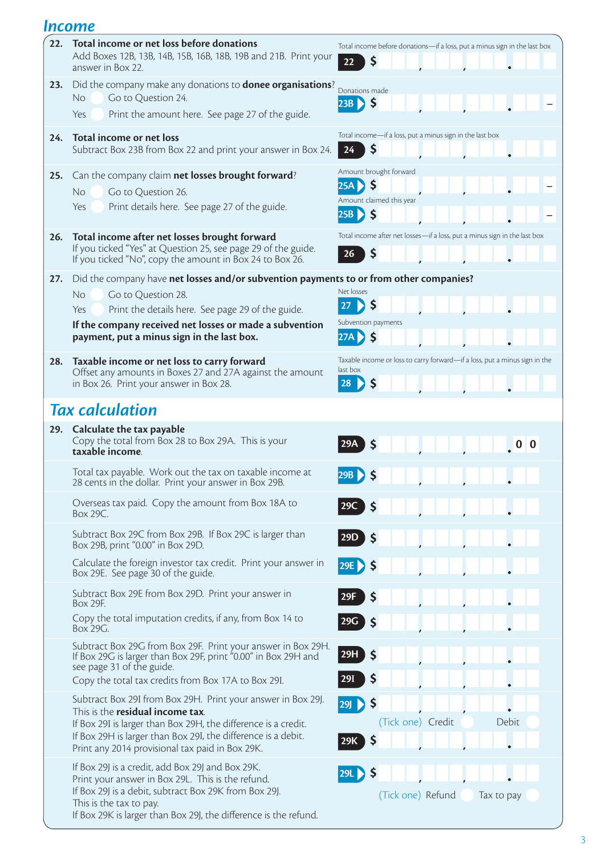#### **22. Total income or net loss before donations** Add Boxes 12B, 13B, 14B, 15B, 16B, 18B, 19B and 21B. Print your answer in Box 22. Total income before donations—if a loss, put a minus sign in the last box **<sup>22</sup> \$ 23.** Did the company make any donations to **donee organisations**? No Go to Question 24. Yes Print the amount here. See page 27 of the guide. Donations made 23B > \$ **\$** – **24. Total income or net loss** Subtract Box 23B from Box 22 and print your answer in Box 24. Total income—if a loss, put a minus sign in the last box **<sup>24</sup> \$ 25.** Can the company claim **net losses brought forward**? No Go to Question 26. Yes Print details here. See page 27 of the guide. Amount brought forward **25A \$** – Amount claimed this year **25B \$** – **26. Total income after net losses brought forward** If you ticked "Yes" at Question 25, see page 29 of the guide. If you ticked "No", copy the amount in Box 24 to Box 26. Total income after net losses—if a loss, put a minus sign in the last box **26 \$ 27.** Did the company have **net losses and/or subvention payments to or from other companies?** No Go to Question 28. Yes Print the details here. See page 29 of the guide. **If the company received net losses or made a subvention payment, put a minus sign in the last box.** Net losses **<sup>27</sup> \$** Subvention payments **27A \$ 28. Taxable income or net loss to carry forward** Offset any amounts in Boxes 27 and 27A against the amount in Box 26. Print your answer in Box 28. Taxable income or loss to carry forward—if a loss, put a minus sign in the last box **28 \$** *Tax calculation* **29. Calculate the tax payable** Copy the total from Box 28 to Box 29A. This is your **taxable income**. **29A \$ <sup>0</sup> <sup>0</sup>** Total tax payable. Work out the tax on taxable income at 28 cents in the dollar. Print your answer in Box 29B. **29B \$** Overseas tax paid. Copy the amount from Box 18A to Box 29C. **29C \$** Subtract Box 29C from Box 29B. If Box 29C is larger than Box 29B, print "0.00" in Box 29D. **29D \$** Calculate the foreign investor tax credit. Print your answer in Box 29E. See page 30 of the guide. **29E \$** Subtract Box 29E from Box 29D. Print your answer in Box 29F. **29F \$** Copy the total imputation credits, if any, from Box 14 to Box 29G. **29G \$** Subtract Box 29G from Box 29F. Print your answer in Box 29H. If Box 29G is larger than Box 29F, print "0.00" in Box 29H and see page 31 of the guide. **29H \$** Copy the total tax credits from Box 17A to Box 29I. **29**I **\$** Subtract Box 29I from Box 29H. Print your answer in Box 29J. This is the **residual income tax**. If Box 29I is larger than Box 29H, the difference is a credit. If Box 29H is larger than Box 29I, the difference is a debit. Print any 2014 provisional tax paid in Box 29K. **29J 29K \$** (Tick one) Credit Debit **\$** If Box 29J is a credit, add Box 29J and Box 29K. Print your answer in Box 29L. This is the refund. **29L \$** If Box 29J is a debit, subtract Box 29K from Box 29J. This is the tax to pay. (Tick one) Refund Tax to pay

If Box 29K is larger than Box 29J, the difference is the refund.

*Income*

3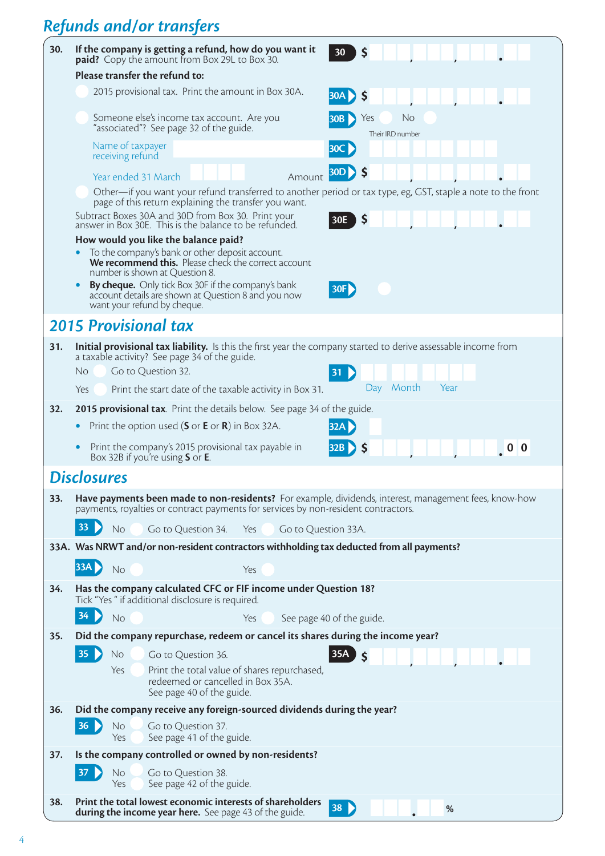## *Refunds and/or transfers*

| 30. | If the company is getting a refund, how do you want it<br>30<br><b>paid?</b> Copy the amount from Box 29L to Box 30.                                                                        |
|-----|---------------------------------------------------------------------------------------------------------------------------------------------------------------------------------------------|
|     | Please transfer the refund to:                                                                                                                                                              |
|     | 2015 provisional tax. Print the amount in Box 30A.<br><b>30A</b><br><b>S</b>                                                                                                                |
|     | Someone else's income tax account. Are you<br>No<br>Yes<br>30B D<br>"associated"? See page 32 of the guide.<br>Their IRD number                                                             |
|     | Name of taxpayer<br>30C  <br>receiving refund                                                                                                                                               |
|     | <b>30D</b><br>Amount<br>Year ended 31 March                                                                                                                                                 |
|     | Other-if you want your refund transferred to another period or tax type, eg, GST, staple a note to the front<br>page of this return explaining the transfer you want.                       |
|     | Subtract Boxes 30A and 30D from Box 30. Print your<br>answer in Box 30E. This is the balance to be refunded.<br>$\mathsf{S}$<br>30E                                                         |
|     | How would you like the balance paid?                                                                                                                                                        |
|     | To the company's bank or other deposit account.<br>We recommend this. Please check the correct account                                                                                      |
|     | number is shown at Question 8.<br>By cheque. Only tick Box 30F if the company's bank<br>30F                                                                                                 |
|     | account details are shown at Question 8 and you now<br>want your refund by cheque.                                                                                                          |
|     | <b>2015 Provisional tax</b>                                                                                                                                                                 |
| 31. | Initial provisional tax liability. Is this the first year the company started to derive assessable income from<br>a taxable activity? See page 34 of the guide.                             |
|     | Go to Question 32.<br>No<br>31                                                                                                                                                              |
|     | Month<br>Year<br>Day<br>Print the start date of the taxable activity in Box 31.<br>Yes                                                                                                      |
| 32. | <b>2015 provisional tax</b> . Print the details below. See page 34 of the guide.                                                                                                            |
|     | Print the option used $(S$ or $E$ or $R)$ in Box 32A.<br><b>32A</b>                                                                                                                         |
|     | Print the company's 2015 provisional tax payable in<br>$32B$ $\left\langle \right\rangle$ \$<br>Box 32B if you're using S or E.                                                             |
|     | <b>Disclosures</b>                                                                                                                                                                          |
| 33. | Have payments been made to non-residents? For example, dividends, interest, management fees, know-how<br>payments, royalties or contract payments for services by non-resident contractors. |
|     | 33<br>Go to Question 34.<br>No<br>Yes<br>Go to Question 33A.                                                                                                                                |
|     | 33A. Was NRWT and/or non-resident contractors withholding tax deducted from all payments?                                                                                                   |
|     | 33A<br>No<br>Yes                                                                                                                                                                            |
| 34. | Has the company calculated CFC or FIF income under Question 18?                                                                                                                             |
|     | Tick "Yes " if additional disclosure is required.<br>34                                                                                                                                     |
|     | No<br>Yes<br>See page 40 of the guide.                                                                                                                                                      |
| 35. | Did the company repurchase, redeem or cancel its shares during the income year?<br>35A \$<br>$35 \triangleright$<br>No<br>Go to Question 36.                                                |
|     | Print the total value of shares repurchased,<br>Yes                                                                                                                                         |
|     | redeemed or cancelled in Box 35A.<br>See page 40 of the guide.                                                                                                                              |
| 36. | Did the company receive any foreign-sourced dividends during the year?                                                                                                                      |
|     | $36 \triangleright$<br>No<br>Go to Question 37.<br>See page 41 of the guide.<br>Yes                                                                                                         |
| 37. | Is the company controlled or owned by non-residents?                                                                                                                                        |
|     | 37<br>No<br>Go to Question 38.<br>See page 42 of the guide.<br>Yes                                                                                                                          |
| 38. | Print the total lowest economic interests of shareholders<br>38<br>$\%$<br>during the income year here. See page 43 of the guide.                                                           |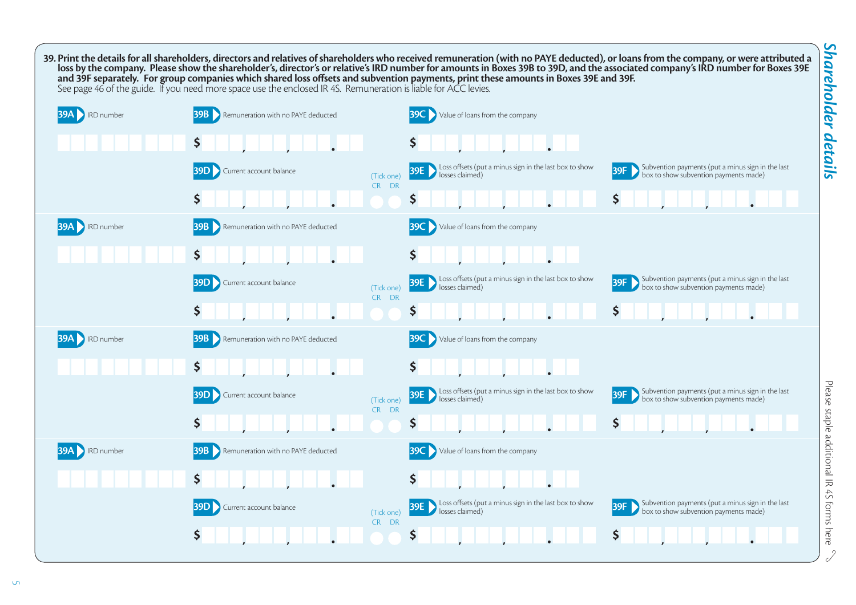